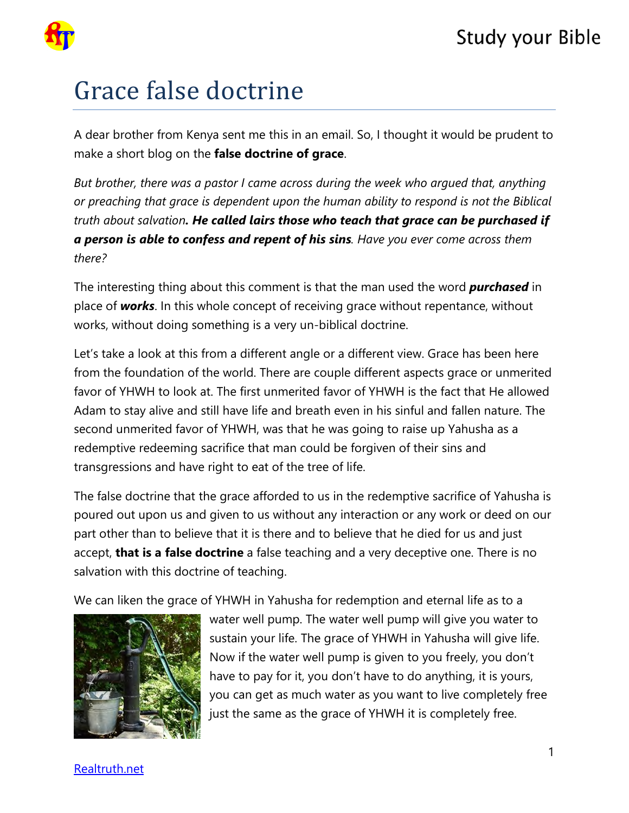

## Grace false doctrine

A dear brother from Kenya sent me this in an email. So, I thought it would be prudent to make a short blog on the **false doctrine of grace**.

*But brother, there was a pastor I came across during the week who argued that, anything or preaching that grace is dependent upon the human ability to respond is not the Biblical truth about salvation. He called lairs those who teach that grace can be purchased if a person is able to confess and repent of his sins. Have you ever come across them there?*

The interesting thing about this comment is that the man used the word *purchased* in place of *works*. In this whole concept of receiving grace without repentance, without works, without doing something is a very un-biblical doctrine.

Let's take a look at this from a different angle or a different view. Grace has been here from the foundation of the world. There are couple different aspects grace or unmerited favor of YHWH to look at. The first unmerited favor of YHWH is the fact that He allowed Adam to stay alive and still have life and breath even in his sinful and fallen nature. The second unmerited favor of YHWH, was that he was going to raise up Yahusha as a redemptive redeeming sacrifice that man could be forgiven of their sins and transgressions and have right to eat of the tree of life.

The false doctrine that the grace afforded to us in the redemptive sacrifice of Yahusha is poured out upon us and given to us without any interaction or any work or deed on our part other than to believe that it is there and to believe that he died for us and just accept, **that is a false doctrine** a false teaching and a very deceptive one. There is no salvation with this doctrine of teaching.

We can liken the grace of YHWH in Yahusha for redemption and eternal life as to a



water well pump. The water well pump will give you water to sustain your life. The grace of YHWH in Yahusha will give life. Now if the water well pump is given to you freely, you don't have to pay for it, you don't have to do anything, it is yours, you can get as much water as you want to live completely free just the same as the grace of YHWH it is completely free.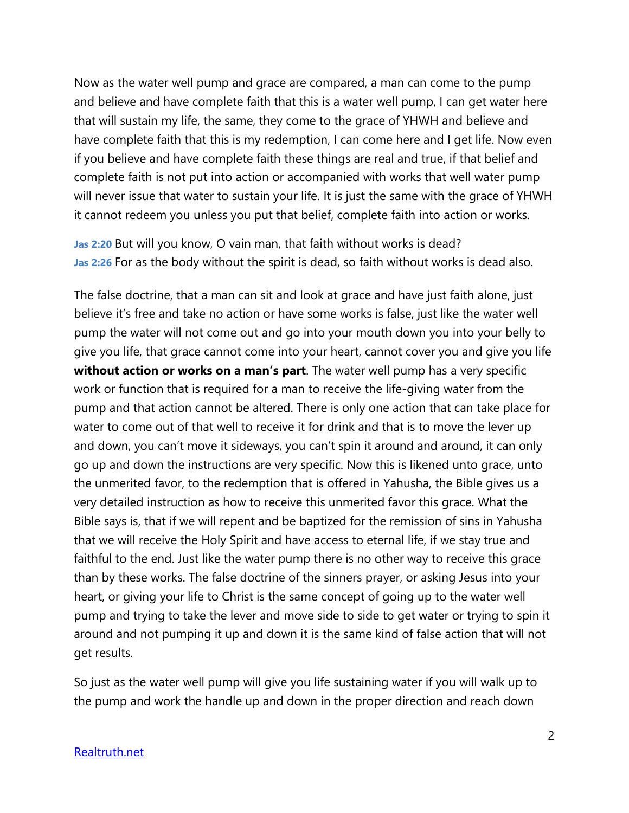Now as the water well pump and grace are compared, a man can come to the pump and believe and have complete faith that this is a water well pump, I can get water here that will sustain my life, the same, they come to the grace of YHWH and believe and have complete faith that this is my redemption, I can come here and I get life. Now even if you believe and have complete faith these things are real and true, if that belief and complete faith is not put into action or accompanied with works that well water pump will never issue that water to sustain your life. It is just the same with the grace of YHWH it cannot redeem you unless you put that belief, complete faith into action or works.

**Jas 2:20** But will you know, O vain man, that faith without works is dead? **Jas 2:26** For as the body without the spirit is dead, so faith without works is dead also.

The false doctrine, that a man can sit and look at grace and have just faith alone, just believe it's free and take no action or have some works is false, just like the water well pump the water will not come out and go into your mouth down you into your belly to give you life, that grace cannot come into your heart, cannot cover you and give you life **without action or works on a man's part**. The water well pump has a very specific work or function that is required for a man to receive the life-giving water from the pump and that action cannot be altered. There is only one action that can take place for water to come out of that well to receive it for drink and that is to move the lever up and down, you can't move it sideways, you can't spin it around and around, it can only go up and down the instructions are very specific. Now this is likened unto grace, unto the unmerited favor, to the redemption that is offered in Yahusha, the Bible gives us a very detailed instruction as how to receive this unmerited favor this grace. What the Bible says is, that if we will repent and be baptized for the remission of sins in Yahusha that we will receive the Holy Spirit and have access to eternal life, if we stay true and faithful to the end. Just like the water pump there is no other way to receive this grace than by these works. The false doctrine of the sinners prayer, or asking Jesus into your heart, or giving your life to Christ is the same concept of going up to the water well pump and trying to take the lever and move side to side to get water or trying to spin it around and not pumping it up and down it is the same kind of false action that will not get results.

So just as the water well pump will give you life sustaining water if you will walk up to the pump and work the handle up and down in the proper direction and reach down